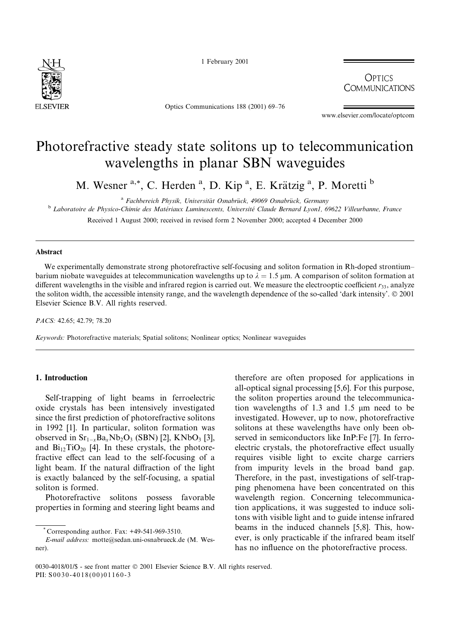

1 February 2001

Optics Communications 188 (2001) 69-76

**OPTICS COMMUNICATIONS** 

www.elsevier.com/locate/optcom

# Photorefractive steady state solitons up to telecommunication wavelengths in planar SBN waveguides

M. Wesner <sup>a,\*</sup>, C. Herden <sup>a</sup>, D. Kip <sup>a</sup>, E. Krätzig <sup>a</sup>, P. Moretti <sup>b</sup>

<sup>a</sup> Fachbereich Physik, Universität Osnabrück, 49069 Osnabrück, Germany

<sup>b</sup> Laboratoire de Physico-Chimie des Matériaux Luminescents, Université Claude Bernard Lyon1, 69622 Villeurbanne, France Received 1 August 2000; received in revised form 2 November 2000; accepted 4 December 2000

#### **Abstract**

We experimentally demonstrate strong photorefractive self-focusing and soliton formation in Rh-doped strontiumbarium niobate waveguides at telecommunication wavelengths up to  $\lambda = 1.5$  µm. A comparison of soliton formation at different wavelengths in the visible and infrared region is carried out. We measure the electrooptic coefficient  $r_{33}$ , analyze the soliton width, the accessible intensity range, and the wavelength dependence of the so-called 'dark intensity'. © 2001 Elsevier Science B.V. All rights reserved.

PACS: 42.65; 42.79; 78.20

Keywords: Photorefractive materials; Spatial solitons; Nonlinear optics; Nonlinear waveguides

### 1. Introduction

Self-trapping of light beams in ferroelectric oxide crystals has been intensively investigated since the first prediction of photorefractive solitons in 1992 [1]. In particular, soliton formation was observed in  $Sr_{1-x}Ba_xNb_2O_3$  (SBN) [2], KNbO<sub>3</sub> [3], and  $Bi_{12}TiO_{20}$  [4]. In these crystals, the photorefractive effect can lead to the self-focusing of a light beam. If the natural diffraction of the light is exactly balanced by the self-focusing, a spatial soliton is formed.

Photorefractive solitons possess favorable properties in forming and steering light beams and

therefore are often proposed for applications in all-optical signal processing [5,6]. For this purpose, the soliton properties around the telecommunication wavelengths of 1.3 and 1.5  $\mu$ m need to be investigated. However, up to now, photorefractive solitons at these wavelengths have only been observed in semiconductors like InP:Fe [7]. In ferroelectric crystals, the photorefractive effect usually requires visible light to excite charge carriers from impurity levels in the broad band gap. Therefore, in the past, investigations of self-trapping phenomena have been concentrated on this wavelength region. Concerning telecommunication applications, it was suggested to induce solitons with visible light and to guide intense infrared beams in the induced channels [5,8]. This, however, is only practicable if the infrared beam itself has no influence on the photorefractive process.

Corresponding author  $\text{Fax} \cdot +49-541-969-3510$ 

E-mail address: motte@sedan.uni-osnabrueck.de (M. Wesner).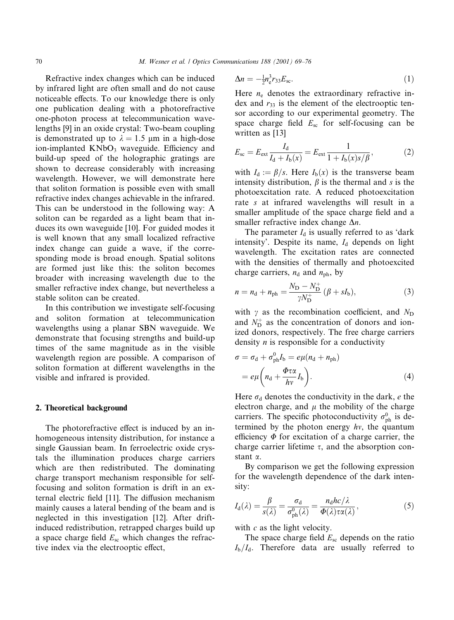Refractive index changes which can be induced by infrared light are often small and do not cause noticeable effects. To our knowledge there is only one publication dealing with a photorefractive one-photon process at telecommunication wavelengths [9] in an oxide crystal: Two-beam coupling is demonstrated up to  $\lambda = 1.5$  µm in a high-dose ion-implanted KNbO<sub>3</sub> waveguide. Efficiency and build-up speed of the holographic gratings are shown to decrease considerably with increasing wavelength. However, we will demonstrate here that soliton formation is possible even with small refractive index changes achievable in the infrared. This can be understood in the following way: A soliton can be regarded as a light beam that induces its own waveguide [10]. For guided modes it is well known that any small localized refractive index change can guide a wave, if the corresponding mode is broad enough. Spatial solitons are formed just like this: the soliton becomes broader with increasing wavelength due to the smaller refractive index change, but nevertheless a stable soliton can be created.

In this contribution we investigate self-focusing and soliton formation at telecommunication wavelengths using a planar SBN waveguide. We demonstrate that focusing strengths and build-up times of the same magnitude as in the visible wavelength region are possible. A comparison of soliton formation at different wavelengths in the visible and infrared is provided.

#### 2. Theoretical background

The photorefractive effect is induced by an inhomogeneous intensity distribution, for instance a single Gaussian beam. In ferroelectric oxide crystals the illumination produces charge carriers which are then redistributed. The dominating charge transport mechanism responsible for selffocusing and soliton formation is drift in an external electric field [11]. The diffusion mechanism mainly causes a lateral bending of the beam and is neglected in this investigation [12]. After driftinduced redistribution, retrapped charges build up a space charge field  $E_{\rm sc}$  which changes the refractive index via the electrooptic effect,

$$
\Delta n = -\frac{1}{2} n_{\rm e}^3 r_{33} E_{\rm sc}.\tag{1}
$$

Here  $n_e$  denotes the extraordinary refractive index and  $r_{33}$  is the element of the electrooptic tensor according to our experimental geometry. The space charge field  $E_{\rm sc}$  for self-focusing can be written as [13]

$$
E_{\rm sc} = E_{\rm ext} \frac{I_{\rm d}}{I_{\rm d} + I_{\rm b}(x)} = E_{\rm ext} \frac{1}{1 + I_{\rm b}(x)s/\beta},\tag{2}
$$

with  $I_d := \beta/s$ . Here  $I_b(x)$  is the transverse beam intensity distribution,  $\beta$  is the thermal and s is the photoexcitation rate. A reduced photoexcitation rate s at infrared wavelengths will result in a smaller amplitude of the space charge field and a smaller refractive index change  $\Delta n$ .

The parameter  $I_d$  is usually referred to as 'dark intensity'. Despite its name,  $I_d$  depends on light wavelength. The excitation rates are connected with the densities of thermally and photoexcited charge carriers,  $n_d$  and  $n_{\text{ph}}$ , by

$$
n = n_{\rm d} + n_{\rm ph} = \frac{N_{\rm D} - N_{\rm D}^+}{\gamma N_{\rm D}^+} (\beta + sI_{\rm b}),\tag{3}
$$

with  $\gamma$  as the recombination coefficient, and  $N_D$ and  $N_{\rm D}^+$  as the concentration of donors and ionized donors, respectively. The free charge carriers density  $n$  is responsible for a conductivity

$$
\sigma = \sigma_{\rm d} + \sigma_{\rm ph}^0 I_{\rm b} = e\mu (n_{\rm d} + n_{\rm ph})
$$

$$
= e\mu \left( n_{\rm d} + \frac{\Phi \tau \alpha}{h\nu} I_{\rm b} \right). \tag{4}
$$

Here  $\sigma_d$  denotes the conductivity in the dark, e the electron charge, and  $\mu$  the mobility of the charge carriers. The specific photoconductivity  $\sigma_{\rm ph}^0$  is determined by the photon energy  $hv$ , the quantum efficiency  $\Phi$  for excitation of a charge carrier, the charge carrier lifetime  $\tau$ , and the absorption constant  $\alpha$ .

By comparison we get the following expression for the wavelength dependence of the dark intensity:

$$
I_{\rm d}(\lambda) = \frac{\beta}{s(\lambda)} = \frac{\sigma_{\rm d}}{\sigma_{\rm ph}^0(\lambda)} = \frac{n_{\rm d}hc/\lambda}{\Phi(\lambda)\tau\alpha(\lambda)},\tag{5}
$$

with  $c$  as the light velocity.

The space charge field  $E_{\rm sc}$  depends on the ratio  $I_{\rm b}/I_{\rm d}$ . Therefore data are usually referred to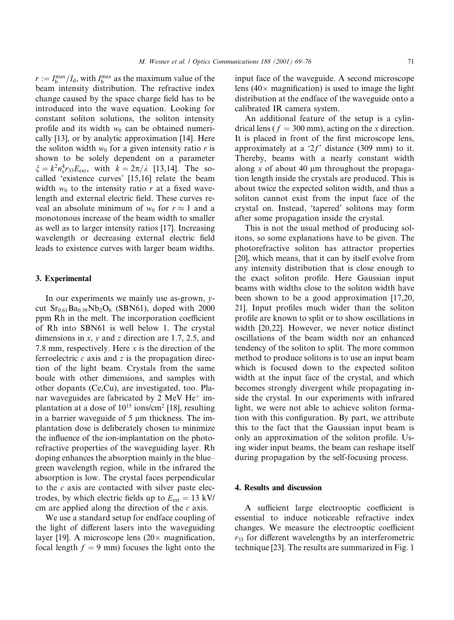$r := I_{b}^{\max}/I_{d}$ , with  $I_{b}^{\max}$  as the maximum value of the beam intensity distribution. The refractive index change caused by the space charge field has to be introduced into the wave equation. Looking for constant soliton solutions, the soliton intensity profile and its width  $w_0$  can be obtained numerically [13], or by analytic approximation [14]. Here the soliton width  $w_0$  for a given intensity ratio r is shown to be solely dependent on a parameter  $\xi = k^2 n_r^4 r_{33} E_{\text{ext}},$  with  $k = 2\pi/\lambda$  [13,14]. The socalled 'existence curves' [15,16] relate the beam width  $w_0$  to the intensity ratio r at a fixed wavelength and external electric field. These curves reveal an absolute minimum of  $w_0$  for  $r \approx 1$  and a monotonous increase of the beam width to smaller as well as to larger intensity ratios [17]. Increasing wavelength or decreasing external electric field leads to existence curves with larger beam widths.

#### 3. Experimental

In our experiments we mainly use as-grown,  $y$ cut  $Sr_{0.61}Ba_{0.39}Nb_2O_6$  (SBN61), doped with 2000 ppm Rh in the melt. The incorporation coefficient of Rh into SBN61 is well below 1. The crystal dimensions in x, y and z direction are 1.7, 2.5, and 7.8 mm, respectively. Here  $x$  is the direction of the ferroelectric  $c$  axis and  $z$  is the propagation direction of the light beam. Crystals from the same boule with other dimensions, and samples with other dopants (Ce,Cu), are investigated, too. Planar waveguides are fabricated by 2 MeV He<sup>+</sup> implantation at a dose of  $10^{15}$  ions/cm<sup>2</sup> [18], resulting in a barrier waveguide of 5 µm thickness. The implantation dose is deliberately chosen to minimize the influence of the ion-implantation on the photorefractive properties of the waveguiding layer. Rh doping enhances the absorption mainly in the bluegreen wavelength region, while in the infrared the absorption is low. The crystal faces perpendicular to the  $c$  axis are contacted with silver paste electrodes, by which electric fields up to  $E_{ext} = 13$  kV/ cm are applied along the direction of the  $c$  axis.

We use a standard setup for endface coupling of the light of different lasers into the waveguiding layer [19]. A microscope lens  $(20 \times$  magnification, focal length  $f = 9$  mm) focuses the light onto the

input face of the waveguide. A second microscope lens (40 $\times$  magnification) is used to image the light distribution at the endface of the waveguide onto a calibrated IR camera system.

An additional feature of the setup is a cylindrical lens ( $f = 300$  mm), acting on the x direction. It is placed in front of the first microscope lens, approximately at a ' $2f$ ' distance (309 mm) to it. Thereby, beams with a nearly constant width along x of about 40  $\mu$ m throughout the propagation length inside the crystals are produced. This is about twice the expected soliton width, and thus a soliton cannot exist from the input face of the crystal on. Instead, 'tapered' solitons may form after some propagation inside the crystal.

This is not the usual method of producing solitons, so some explanations have to be given. The photorefractive soliton has attractor properties [20], which means, that it can by itself evolve from any intensity distribution that is close enough to the exact soliton profile. Here Gaussian input beams with widths close to the soliton width have been shown to be a good approximation  $[17,20,$ 21]. Input profiles much wider than the soliton profile are known to split or to show oscillations in width [20,22]. However, we never notice distinct oscillations of the beam width nor an enhanced tendency of the soliton to split. The more common method to produce solitons is to use an input beam which is focused down to the expected soliton width at the input face of the crystal, and which becomes strongly divergent while propagating inside the crystal. In our experiments with infrared light, we were not able to achieve soliton formation with this configuration. By part, we attribute this to the fact that the Gaussian input beam is only an approximation of the soliton profile. Using wider input beams, the beam can reshape itself during propagation by the self-focusing process.

## 4. Results and discussion

A sufficient large electrooptic coefficient is essential to induce noticeable refractive index changes. We measure the electrooptic coefficient  $r_{33}$  for different wavelengths by an interferometric technique [23]. The results are summarized in Fig. 1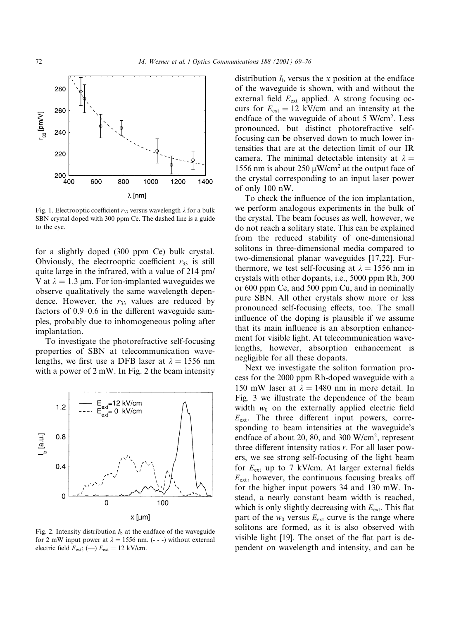

Fig. 1. Electrooptic coefficient  $r_{33}$  versus wavelength  $\lambda$  for a bulk SBN crystal doped with 300 ppm Ce. The dashed line is a guide to the eve.

for a slightly doped (300 ppm Ce) bulk crystal. Obviously, the electrooptic coefficient  $r_{33}$  is still quite large in the infrared, with a value of 214 pm/ V at  $\lambda = 1.3$  µm. For ion-implanted waveguides we observe qualitatively the same wavelength dependence. However, the  $r_{33}$  values are reduced by factors of 0.9–0.6 in the different waveguide samples, probably due to inhomogeneous poling after implantation.

To investigate the photorefractive self-focusing properties of SBN at telecommunication wavelengths, we first use a DFB laser at  $\lambda = 1556$  nm with a power of  $2 \text{ mW}$ . In Fig. 2 the beam intensity



Fig. 2. Intensity distribution  $I<sub>b</sub>$  at the endface of the waveguide for 2 mW input power at  $\lambda = 1556$  nm. (- - -) without external electric field  $E_{ext}$ ; (--)  $E_{ext} = 12$  kV/cm.

distribution  $I<sub>b</sub>$  versus the x position at the endface of the waveguide is shown, with and without the external field E<sub>ext</sub> applied. A strong focusing occurs for  $E_{\text{ext}} = 12$  kV/cm and an intensity at the endface of the waveguide of about 5 W/cm<sup>2</sup>. Less pronounced, but distinct photorefractive selffocusing can be observed down to much lower intensities that are at the detection limit of our IR camera. The minimal detectable intensity at  $\lambda =$ 1556 nm is about 250  $\mu$ W/cm<sup>2</sup> at the output face of the crystal corresponding to an input laser power of only  $100$  nW.

To check the influence of the ion implantation, we perform analogous experiments in the bulk of the crystal. The beam focuses as well, however, we do not reach a solitary state. This can be explained from the reduced stability of one-dimensional solitons in three-dimensional media compared to two-dimensional planar waveguides [17,22]. Furthermore, we test self-focusing at  $\lambda = 1556$  nm in crystals with other dopants, i.e., 5000 ppm Rh, 300 or 600 ppm Ce, and 500 ppm Cu, and in nominally pure SBN. All other crystals show more or less pronounced self-focusing effects, too. The small influence of the doping is plausible if we assume that its main influence is an absorption enhancement for visible light. At telecommunication wavelengths, however, absorption enhancement is negligible for all these dopants.

Next we investigate the soliton formation process for the 2000 ppm Rh-doped waveguide with a 150 mW laser at  $\lambda = 1480$  nm in more detail. In Fig. 3 we illustrate the dependence of the beam width  $w_0$  on the externally applied electric field  $E_{\text{ext}}$ . The three different input powers, corresponding to beam intensities at the waveguide's endface of about 20, 80, and 300 W/cm<sup>2</sup>, represent three different intensity ratios  $r$ . For all laser powers, we see strong self-focusing of the light beam for  $E_{ext}$  up to 7 kV/cm. At larger external fields  $E_{\text{ext}}$ , however, the continuous focusing breaks off for the higher input powers 34 and 130 mW. Instead, a nearly constant beam width is reached, which is only slightly decreasing with  $E_{ext}$ . This flat part of the  $w_0$  versus  $E_{ext}$  curve is the range where solitons are formed, as it is also observed with visible light [19]. The onset of the flat part is dependent on wavelength and intensity, and can be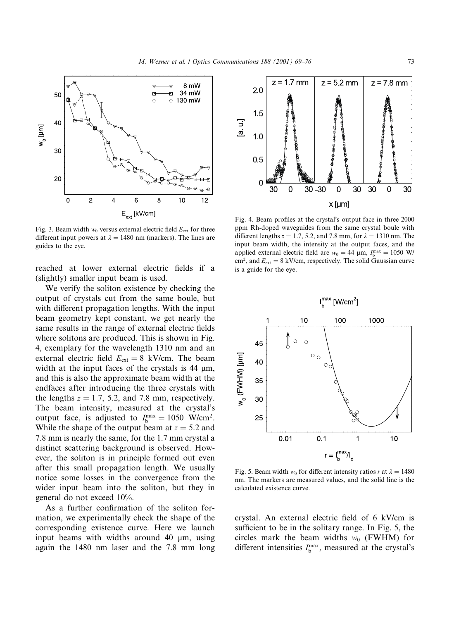

Fig. 3. Beam width  $w_0$  versus external electric field  $E_{ext}$  for three different input powers at  $\lambda = 1480$  nm (markers). The lines are guides to the eve.

reached at lower external electric fields if a (slightly) smaller input beam is used.

We verify the soliton existence by checking the output of crystals cut from the same boule, but with different propagation lengths. With the input beam geometry kept constant, we get nearly the same results in the range of external electric fields where solitons are produced. This is shown in Fig. 4, exemplary for the wavelength 1310 nm and an external electric field  $E_{ext} = 8$  kV/cm. The beam width at the input faces of the crystals is  $44 \mu m$ , and this is also the approximate beam width at the endfaces after introducing the three crystals with the lengths  $z = 1.7$ , 5.2, and 7.8 mm, respectively. The beam intensity, measured at the crystal's output face, is adjusted to  $I_h^{\text{max}} = 1050 \text{ W/cm}^2$ . While the shape of the output beam at  $z = 5.2$  and 7.8 mm is nearly the same, for the 1.7 mm crystal a distinct scattering background is observed. However, the soliton is in principle formed out even after this small propagation length. We usually notice some losses in the convergence from the wider input beam into the soliton, but they in general do not exceed 10%.

As a further confirmation of the soliton formation, we experimentally check the shape of the corresponding existence curve. Here we launch input beams with widths around 40 µm, using again the 1480 nm laser and the 7.8 mm long



Fig. 4. Beam profiles at the crystal's output face in three 2000 ppm Rh-doped waveguides from the same crystal boule with different lengths  $z = 1.7$ , 5.2, and 7.8 mm, for  $\lambda = 1310$  nm. The input beam width, the intensity at the output faces, and the applied external electric field are  $w_0 = 44 \mu m$ ,  $I_h^{\text{max}} = 1050 \text{ W}/$  $\text{cm}^2$ , and  $E_{\text{ext}} = 8 \text{ kV/cm}$ , respectively. The solid Gaussian curve is a guide for the eye.



Fig. 5. Beam width  $w_0$  for different intensity ratios r at  $\lambda = 1480$ nm. The markers are measured values, and the solid line is the calculated existence curve.

crystal. An external electric field of 6 kV/cm is sufficient to be in the solitary range. In Fig. 5, the circles mark the beam widths  $w_0$  (FWHM) for different intensities  $I_{b}^{\max}$ , measured at the crystal's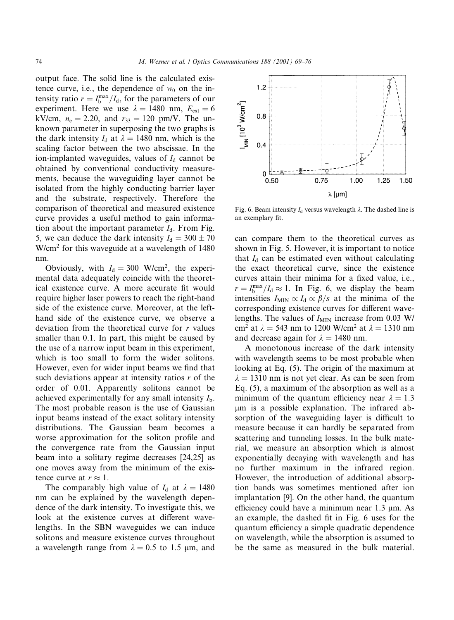output face. The solid line is the calculated existence curve, i.e., the dependence of  $w_0$  on the intensity ratio  $r = I_b^{\text{max}}/I_d$ , for the parameters of our experiment. Here we use  $\lambda = 1480$  nm,  $E_{ext} = 6$ kV/cm,  $n_e = 2.20$ , and  $r_{33} = 120$  pm/V. The unknown parameter in superposing the two graphs is the dark intensity  $I_d$  at  $\lambda = 1480$  nm, which is the scaling factor between the two abscissae. In the ion-implanted waveguides, values of  $I_d$  cannot be obtained by conventional conductivity measurements, because the waveguiding layer cannot be isolated from the highly conducting barrier layer and the substrate, respectively. Therefore the comparison of theoretical and measured existence curve provides a useful method to gain information about the important parameter  $I_d$ . From Fig. 5, we can deduce the dark intensity  $I_d = 300 \pm 70$ W/cm<sup>2</sup> for this waveguide at a wavelength of 1480 nm.

Obviously, with  $I_d = 300$  W/cm<sup>2</sup>, the experimental data adequately coincide with the theoretical existence curve. A more accurate fit would require higher laser powers to reach the right-hand side of the existence curve. Moreover, at the lefthand side of the existence curve, we observe a deviation from the theoretical curve for  $r$  values smaller than 0.1. In part, this might be caused by the use of a narrow input beam in this experiment, which is too small to form the wider solitons. However, even for wider input beams we find that such deviations appear at intensity ratios  $r$  of the order of 0.01. Apparently solitons cannot be achieved experimentally for any small intensity  $I<sub>b</sub>$ . The most probable reason is the use of Gaussian input beams instead of the exact solitary intensity distributions. The Gaussian beam becomes a worse approximation for the soliton profile and the convergence rate from the Gaussian input beam into a solitary regime decreases [24,25] as one moves away from the minimum of the existence curve at  $r \approx 1$ .

The comparably high value of  $I_d$  at  $\lambda = 1480$ nm can be explained by the wavelength dependence of the dark intensity. To investigate this, we look at the existence curves at different wavelengths. In the SBN waveguides we can induce solitons and measure existence curves throughout a wavelength range from  $\lambda = 0.5$  to 1.5  $\mu$ m, and



Fig. 6. Beam intensity  $I_d$  versus wavelength  $\lambda$ . The dashed line is an exemplary fit.

can compare them to the theoretical curves as shown in Fig. 5. However, it is important to notice that  $I_d$  can be estimated even without calculating the exact theoretical curve, since the existence curves attain their minima for a fixed value, i.e.,  $r = I_h^{\text{max}}/I_d \approx 1$ . In Fig. 6, we display the beam intensities  $I_{\text{MIN}} \propto I_d \propto \beta/s$  at the minima of the corresponding existence curves for different wavelengths. The values of  $I_{\text{MIN}}$  increase from 0.03 W/ cm<sup>2</sup> at  $\lambda = 543$  nm to 1200 W/cm<sup>2</sup> at  $\lambda = 1310$  nm and decrease again for  $\lambda = 1480$  nm.

A monotonous increase of the dark intensity with wavelength seems to be most probable when looking at Eq. (5). The origin of the maximum at  $\lambda = 1310$  nm is not yet clear. As can be seen from Eq.  $(5)$ , a maximum of the absorption as well as a minimum of the quantum efficiency near  $\lambda = 1.3$ um is a possible explanation. The infrared absorption of the waveguiding layer is difficult to measure because it can hardly be separated from scattering and tunneling losses. In the bulk material, we measure an absorption which is almost exponentially decaying with wavelength and has no further maximum in the infrared region. However, the introduction of additional absorption bands was sometimes mentioned after ion implantation [9]. On the other hand, the quantum efficiency could have a minimum near  $1.3 \mu$ m. As an example, the dashed fit in Fig. 6 uses for the quantum efficiency a simple quadratic dependence on wavelength, while the absorption is assumed to be the same as measured in the bulk material.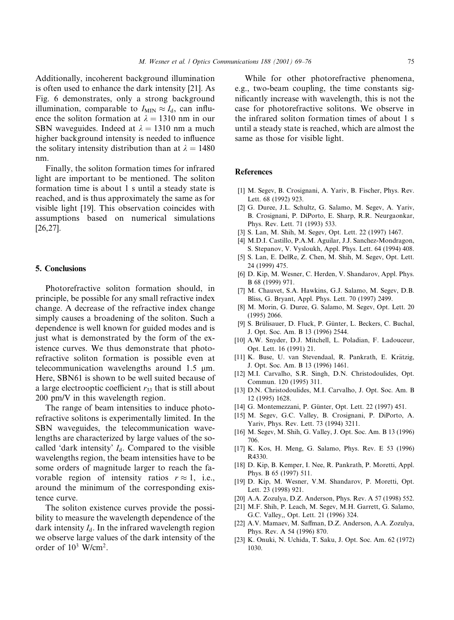Additionally, incoherent background illumination is often used to enhance the dark intensity [21]. As Fig. 6 demonstrates, only a strong background illumination, comparable to  $I_{\text{MIN}} \approx I_d$ , can influence the soliton formation at  $\lambda = 1310$  nm in our SBN waveguides. Indeed at  $\lambda = 1310$  nm a much higher background intensity is needed to influence the solitary intensity distribution than at  $\lambda = 1480$ nm.

Finally, the soliton formation times for infrared light are important to be mentioned. The soliton formation time is about 1 s until a steady state is reached, and is thus approximately the same as for visible light [19]. This observation coincides with assumptions based on numerical simulations  $[26, 27]$ .

## 5. Conclusions

Photorefractive soliton formation should, in principle, be possible for any small refractive index change. A decrease of the refractive index change simply causes a broadening of the soliton. Such a dependence is well known for guided modes and is just what is demonstrated by the form of the existence curves. We thus demonstrate that photorefractive soliton formation is possible even at telecommunication wavelengths around  $1.5 \mu m$ . Here, SBN61 is shown to be well suited because of a large electrooptic coefficient  $r_{33}$  that is still about 200 pm/V in this wavelength region.

The range of beam intensities to induce photorefractive solitons is experimentally limited. In the SBN waveguides, the telecommunication wavelengths are characterized by large values of the socalled 'dark intensity'  $I_d$ . Compared to the visible wavelengths region, the beam intensities have to be some orders of magnitude larger to reach the favorable region of intensity ratios  $r \approx 1$ , i.e., around the minimum of the corresponding existence curve.

The soliton existence curves provide the possibility to measure the wavelength dependence of the dark intensity  $I_d$ . In the infrared wavelength region we observe large values of the dark intensity of the order of  $10^3$  W/cm<sup>2</sup>.

While for other photorefractive phenomena, e.g., two-beam coupling, the time constants significantly increase with wavelength, this is not the case for photorefractive solitons. We observe in the infrared soliton formation times of about 1 s until a steady state is reached, which are almost the same as those for visible light.

## **References**

- [1] M. Segev, B. Crosignani, A. Yariv, B. Fischer, Phys. Rev. Lett. 68 (1992) 923.
- [2] G. Duree, J.L. Schultz, G. Salamo, M. Segev, A. Yariv, B. Crosignani, P. DiPorto, E. Sharp, R.R. Neurgaonkar, Phys. Rev. Lett. 71 (1993) 533.
- [3] S. Lan, M. Shih, M. Segev, Opt. Lett. 22 (1997) 1467.
- [4] M.D.I. Castillo, P.A.M. Aguilar, J.J. Sanchez-Mondragon, S. Stepanov, V. Vysloukh, Appl. Phys. Lett. 64 (1994) 408.
- [5] S. Lan, E. DelRe, Z. Chen, M. Shih, M. Segev, Opt. Lett. 24 (1999) 475.
- [6] D. Kip, M. Wesner, C. Herden, V. Shandarov, Appl. Phys. B 68 (1999) 971.
- [7] M. Chauvet, S.A. Hawkins, G.J. Salamo, M. Segev, D.B. Bliss, G. Bryant, Appl. Phys. Lett. 70 (1997) 2499.
- [8] M. Morin, G. Duree, G. Salamo, M. Segev, Opt. Lett. 20  $(1995)$  2066.
- [9] S. Brülisauer, D. Fluck, P. Günter, L. Beckers, C. Buchal, J. Opt. Soc. Am. B 13 (1996) 2544.
- [10] A.W. Snyder, D.J. Mitchell, L. Poladian, F. Ladouceur, Opt. Lett. 16 (1991) 21.
- [11] K. Buse, U. van Stevendaal, R. Pankrath, E. Krätzig, J. Opt. Soc. Am. B 13 (1996) 1461.
- [12] M.I. Carvalho, S.R. Singh, D.N. Christodoulides, Opt. Commun. 120 (1995) 311.
- [13] D.N. Christodoulides, M.I. Carvalho, J. Opt. Soc. Am. B 12 (1995) 1628.
- [14] G. Montemezzani, P. Günter, Opt. Lett. 22 (1997) 451.
- [15] M. Segev, G.C. Valley, B. Crosignani, P. DiPorto, A. Yariv, Phys. Rev. Lett. 73 (1994) 3211.
- [16] M. Segev, M. Shih, G. Valley, J. Opt. Soc. Am. B 13 (1996) 706
- [17] K. Kos, H. Meng, G. Salamo, Phys. Rev. E 53 (1996) R4330.
- [18] D. Kip, B. Kemper, I. Nee, R. Pankrath, P. Moretti, Appl. Phys. B 65 (1997) 511.
- [19] D. Kip, M. Wesner, V.M. Shandarov, P. Moretti, Opt. Lett. 23 (1998) 921.
- [20] A.A. Zozulya, D.Z. Anderson, Phys. Rev. A 57 (1998) 552.
- [21] M.F. Shih, P. Leach, M. Segev, M.H. Garrett, G. Salamo, G.C. Valley,, Opt. Lett. 21 (1996) 324.
- [22] A.V. Mamaev, M. Saffman, D.Z. Anderson, A.A. Zozulya, Phys. Rev. A 54 (1996) 870.
- [23] K. Onuki, N. Uchida, T. Saku, J. Opt. Soc. Am. 62 (1972) 1030